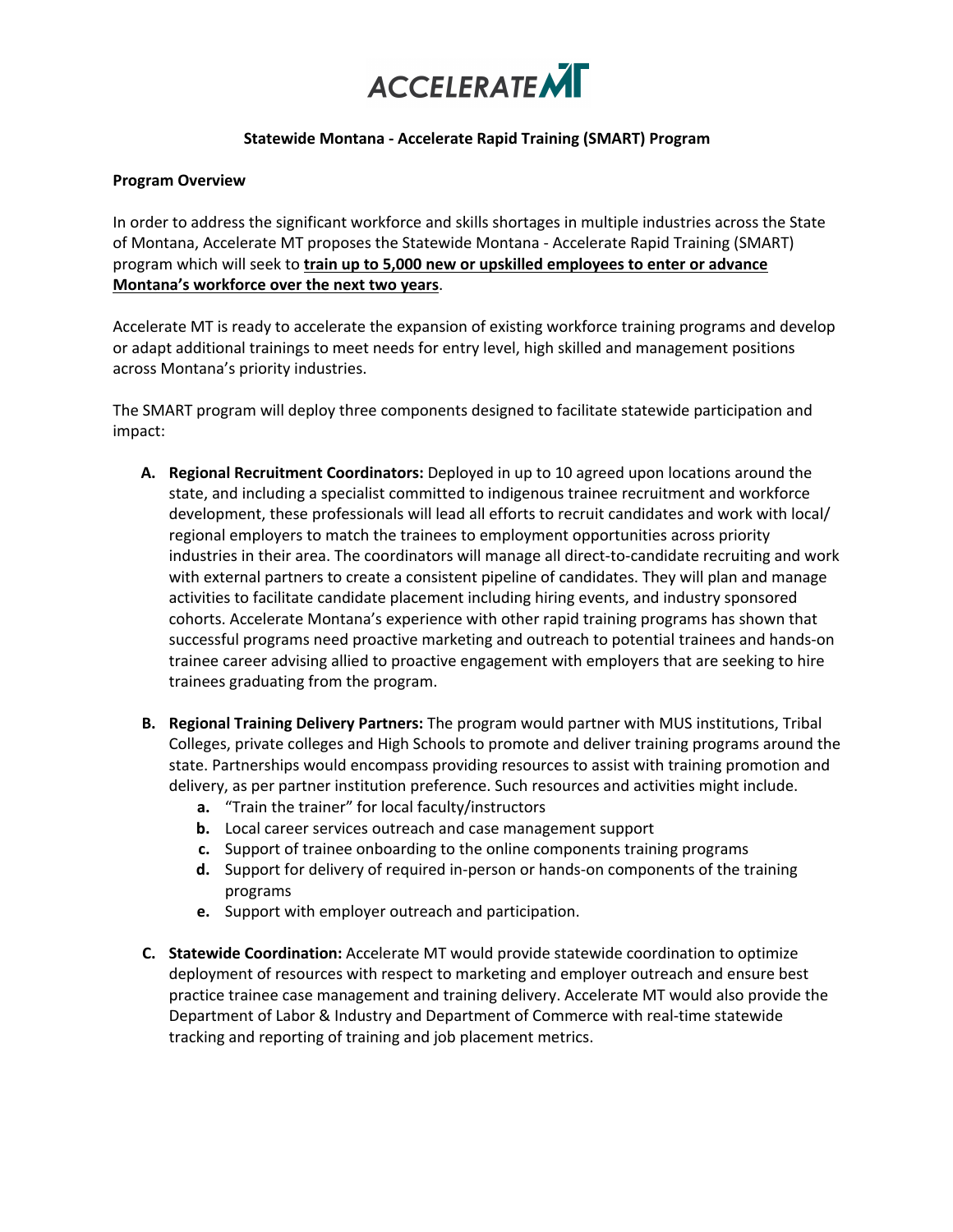

## **Statewide Montana - Accelerate Rapid Training (SMART) Program**

## **Program Overview**

In order to address the significant workforce and skills shortages in multiple industries across the State of Montana, Accelerate MT proposes the Statewide Montana - Accelerate Rapid Training (SMART) program which will seek to **train up to 5,000 new or upskilled employees to enter or advance Montana's workforce over the next two years**.

Accelerate MT is ready to accelerate the expansion of existing workforce training programs and develop or adapt additional trainings to meet needs for entry level, high skilled and management positions across Montana's priority industries.

The SMART program will deploy three components designed to facilitate statewide participation and impact:

- **A. Regional Recruitment Coordinators:** Deployed in up to 10 agreed upon locations around the state, and including a specialist committed to indigenous trainee recruitment and workforce development, these professionals will lead all efforts to recruit candidates and work with local/ regional employers to match the trainees to employment opportunities across priority industries in their area. The coordinators will manage all direct-to-candidate recruiting and work with external partners to create a consistent pipeline of candidates. They will plan and manage activities to facilitate candidate placement including hiring events, and industry sponsored cohorts. Accelerate Montana's experience with other rapid training programs has shown that successful programs need proactive marketing and outreach to potential trainees and hands-on trainee career advising allied to proactive engagement with employers that are seeking to hire trainees graduating from the program.
- **B. Regional Training Delivery Partners:** The program would partner with MUS institutions, Tribal Colleges, private colleges and High Schools to promote and deliver training programs around the state. Partnerships would encompass providing resources to assist with training promotion and delivery, as per partner institution preference. Such resources and activities might include.
	- **a.** "Train the trainer" for local faculty/instructors
	- **b.** Local career services outreach and case management support
	- **c.** Support of trainee onboarding to the online components training programs
	- **d.** Support for delivery of required in-person or hands-on components of the training programs
	- **e.** Support with employer outreach and participation.
- **C. Statewide Coordination:** Accelerate MT would provide statewide coordination to optimize deployment of resources with respect to marketing and employer outreach and ensure best practice trainee case management and training delivery. Accelerate MT would also provide the Department of Labor & Industry and Department of Commerce with real-time statewide tracking and reporting of training and job placement metrics.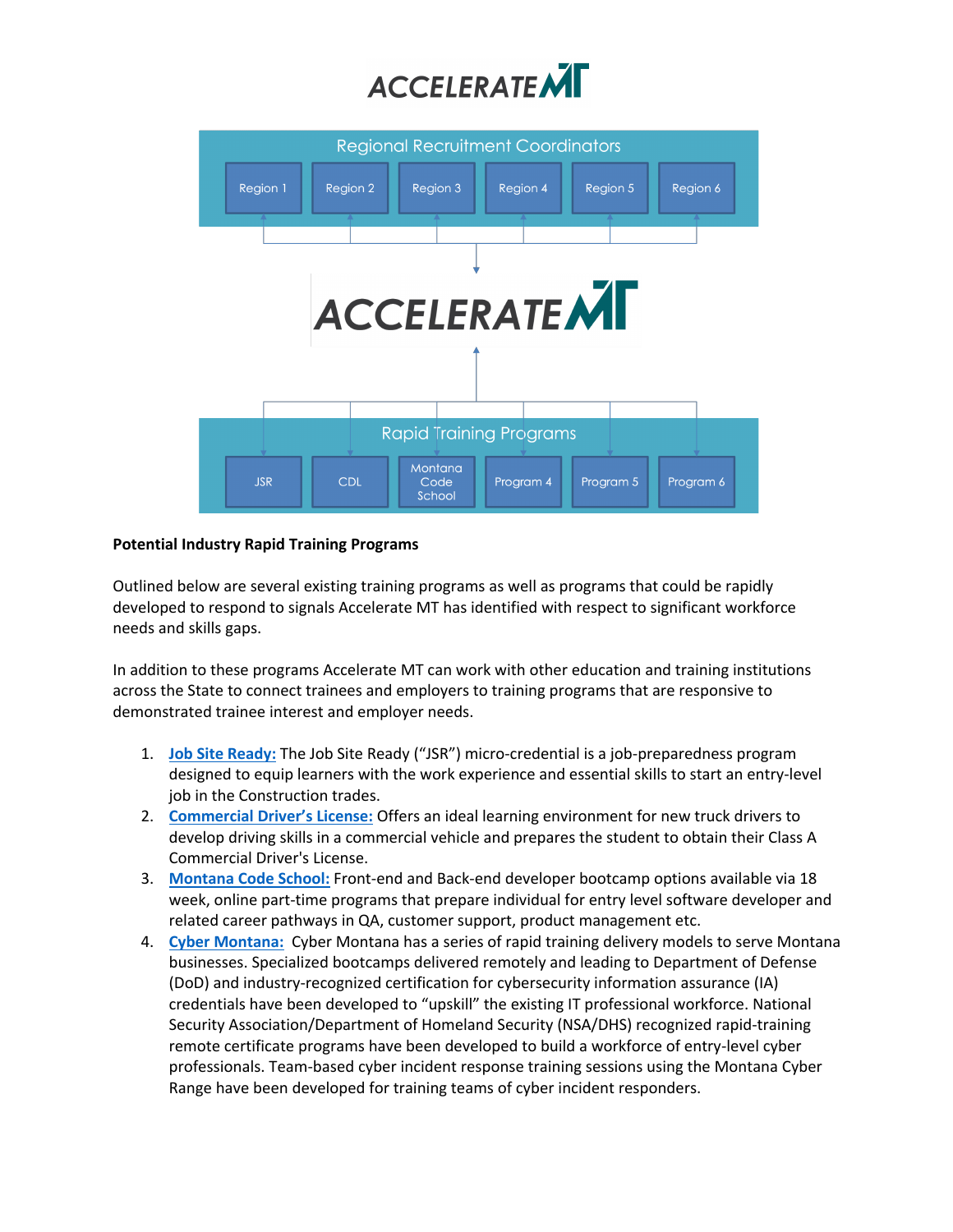



## **Potential Industry Rapid Training Programs**

Outlined below are several existing training programs as well as programs that could be rapidly developed to respond to signals Accelerate MT has identified with respect to significant workforce needs and skills gaps.

In addition to these programs Accelerate MT can work with other education and training institutions across the State to connect trainees and employers to training programs that are responsive to demonstrated trainee interest and employer needs.

- 1. **Job Site Ready:** The Job Site Ready ("JSR") micro-credential is a job-preparedness program designed to equip learners with the work experience and essential skills to start an entry-level job in the Construction trades.
- 2. **Commercial Driver's License:** Offers an ideal learning environment for new truck drivers to develop driving skills in a commercial vehicle and prepares the student to obtain their Class A Commercial Driver's License.
- 3. **Montana Code School:** Front-end and Back-end developer bootcamp options available via 18 week, online part-time programs that prepare individual for entry level software developer and related career pathways in QA, customer support, product management etc.
- 4. **Cyber Montana:** Cyber Montana has a series of rapid training delivery models to serve Montana businesses. Specialized bootcamps delivered remotely and leading to Department of Defense (DoD) and industry-recognized certification for cybersecurity information assurance (IA) credentials have been developed to "upskill" the existing IT professional workforce. National Security Association/Department of Homeland Security (NSA/DHS) recognized rapid-training remote certificate programs have been developed to build a workforce of entry-level cyber professionals. Team-based cyber incident response training sessions using the Montana Cyber Range have been developed for training teams of cyber incident responders.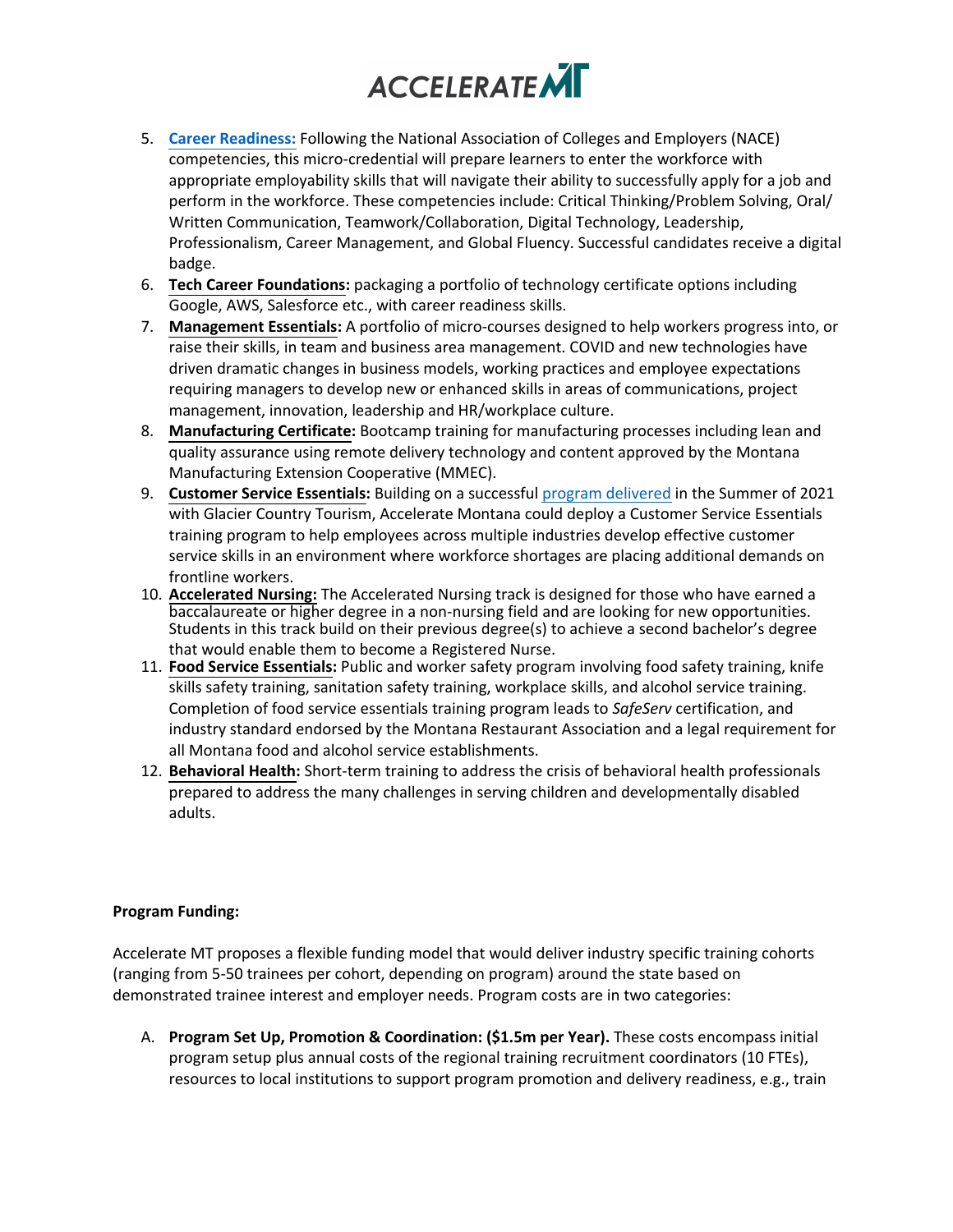

- 5. **Career Readiness:** Following the National Association of Colleges and Employers (NACE) competencies, this micro-credential will prepare learners to enter the workforce with appropriate employability skills that will navigate their ability to successfully apply for a job and perform in the workforce. These competencies include: Critical Thinking/Problem Solving, Oral/ Written Communication, Teamwork/Collaboration, Digital Technology, Leadership, Professionalism, Career Management, and Global Fluency. Successful candidates receive a digital badge.
- 6. **Tech Career Foundations:** packaging a portfolio of technology certificate options including Google, AWS, Salesforce etc., with career readiness skills.
- 7. **Management Essentials:** A portfolio of micro-courses designed to help workers progress into, or raise their skills, in team and business area management. COVID and new technologies have driven dramatic changes in business models, working practices and employee expectations requiring managers to develop new or enhanced skills in areas of communications, project management, innovation, leadership and HR/workplace culture.
- 8. **Manufacturing Certificate:** Bootcamp training for manufacturing processes including lean and quality assurance using remote delivery technology and content approved by the Montana Manufacturing Extension Cooperative (MMEC).
- 9. **Customer Service Essentials:** Building on a successful program delivered in the Summer of 2021 with Glacier Country Tourism, Accelerate Montana could deploy a Customer Service Essentials training program to help employees across multiple industries develop effective customer service skills in an environment where workforce shortages are placing additional demands on frontline workers.
- 10. **Accelerated Nursing:** The Accelerated Nursing track is designed for those who have earned a baccalaureate or higher degree in a non-nursing field and are looking for new opportunities. Students in this track build on their previous degree(s) to achieve a second bachelor's degree that would enable them to become a Registered Nurse.
- 11. **Food Service Essentials:** Public and worker safety program involving food safety training, knife skills safety training, sanitation safety training, workplace skills, and alcohol service training. Completion of food service essentials training program leads to *SafeServ* certification, and industry standard endorsed by the Montana Restaurant Association and a legal requirement for all Montana food and alcohol service establishments.
- 12. **Behavioral Health:** Short-term training to address the crisis of behavioral health professionals prepared to address the many challenges in serving children and developmentally disabled adults.

## **Program Funding:**

Accelerate MT proposes a flexible funding model that would deliver industry specific training cohorts (ranging from 5-50 trainees per cohort, depending on program) around the state based on demonstrated trainee interest and employer needs. Program costs are in two categories:

A. **Program Set Up, Promotion & Coordination: (\$1.5m per Year).** These costs encompass initial program setup plus annual costs of the regional training recruitment coordinators (10 FTEs), resources to local institutions to support program promotion and delivery readiness, e.g., train